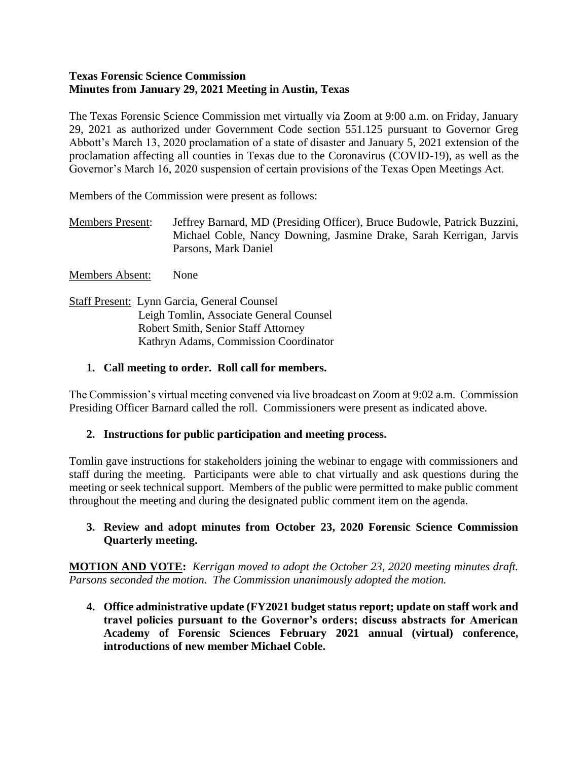#### **Texas Forensic Science Commission Minutes from January 29, 2021 Meeting in Austin, Texas**

The Texas Forensic Science Commission met virtually via Zoom at 9:00 a.m. on Friday, January 29, 2021 as authorized under Government Code section 551.125 pursuant to Governor Greg Abbott's March 13, 2020 proclamation of a state of disaster and January 5, 2021 extension of the proclamation affecting all counties in Texas due to the Coronavirus (COVID-19), as well as the Governor's March 16, 2020 suspension of certain provisions of the Texas Open Meetings Act.

Members of the Commission were present as follows:

Members Present: Jeffrey Barnard, MD (Presiding Officer), Bruce Budowle, Patrick Buzzini, Michael Coble, Nancy Downing, Jasmine Drake, Sarah Kerrigan, Jarvis Parsons, Mark Daniel

Members Absent: None

Staff Present: Lynn Garcia, General Counsel Leigh Tomlin, Associate General Counsel Robert Smith, Senior Staff Attorney Kathryn Adams, Commission Coordinator

## **1. Call meeting to order. Roll call for members.**

The Commission's virtual meeting convened via live broadcast on Zoom at 9:02 a.m. Commission Presiding Officer Barnard called the roll. Commissioners were present as indicated above.

#### **2. Instructions for public participation and meeting process.**

Tomlin gave instructions for stakeholders joining the webinar to engage with commissioners and staff during the meeting. Participants were able to chat virtually and ask questions during the meeting or seek technical support. Members of the public were permitted to make public comment throughout the meeting and during the designated public comment item on the agenda.

#### **3. Review and adopt minutes from October 23, 2020 Forensic Science Commission Quarterly meeting.**

**MOTION AND VOTE:** *Kerrigan moved to adopt the October 23, 2020 meeting minutes draft. Parsons seconded the motion. The Commission unanimously adopted the motion.*

**4. Office administrative update (FY2021 budget status report; update on staff work and travel policies pursuant to the Governor's orders; discuss abstracts for American Academy of Forensic Sciences February 2021 annual (virtual) conference, introductions of new member Michael Coble.**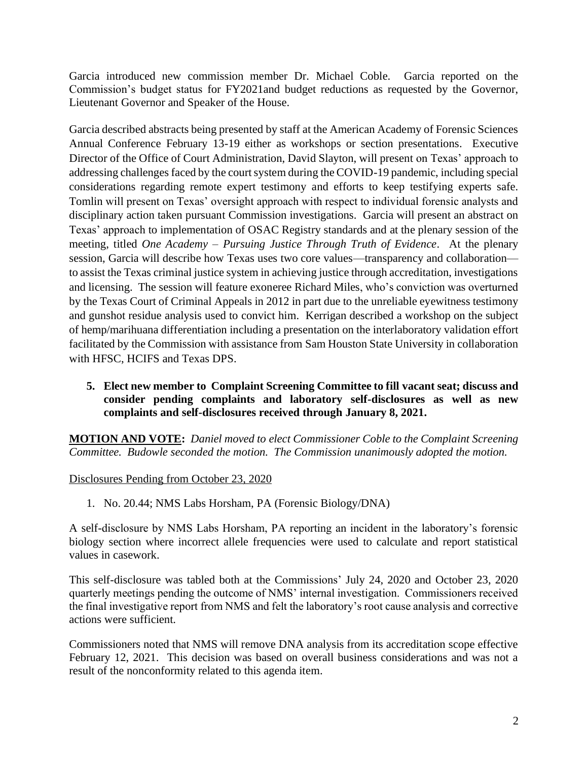Garcia introduced new commission member Dr. Michael Coble. Garcia reported on the Commission's budget status for FY2021and budget reductions as requested by the Governor, Lieutenant Governor and Speaker of the House.

Garcia described abstracts being presented by staff at the American Academy of Forensic Sciences Annual Conference February 13-19 either as workshops or section presentations. Executive Director of the Office of Court Administration, David Slayton, will present on Texas' approach to addressing challenges faced by the court system during the COVID-19 pandemic, including special considerations regarding remote expert testimony and efforts to keep testifying experts safe. Tomlin will present on Texas' oversight approach with respect to individual forensic analysts and disciplinary action taken pursuant Commission investigations. Garcia will present an abstract on Texas' approach to implementation of OSAC Registry standards and at the plenary session of the meeting, titled *One Academy – Pursuing Justice Through Truth of Evidence*. At the plenary session, Garcia will describe how Texas uses two core values—transparency and collaboration to assist the Texas criminal justice system in achieving justice through accreditation, investigations and licensing. The session will feature exoneree Richard Miles, who's conviction was overturned by the Texas Court of Criminal Appeals in 2012 in part due to the unreliable eyewitness testimony and gunshot residue analysis used to convict him. Kerrigan described a workshop on the subject of hemp/marihuana differentiation including a presentation on the interlaboratory validation effort facilitated by the Commission with assistance from Sam Houston State University in collaboration with HFSC, HCIFS and Texas DPS.

**5. Elect new member to Complaint Screening Committee to fill vacant seat; discuss and consider pending complaints and laboratory self-disclosures as well as new complaints and self-disclosures received through January 8, 2021.** 

**MOTION AND VOTE:** *Daniel moved to elect Commissioner Coble to the Complaint Screening Committee. Budowle seconded the motion. The Commission unanimously adopted the motion.*

Disclosures Pending from October 23, 2020

1. No. 20.44; NMS Labs Horsham, PA (Forensic Biology/DNA)

A self-disclosure by NMS Labs Horsham, PA reporting an incident in the laboratory's forensic biology section where incorrect allele frequencies were used to calculate and report statistical values in casework.

This self-disclosure was tabled both at the Commissions' July 24, 2020 and October 23, 2020 quarterly meetings pending the outcome of NMS' internal investigation. Commissioners received the final investigative report from NMS and felt the laboratory's root cause analysis and corrective actions were sufficient.

Commissioners noted that NMS will remove DNA analysis from its accreditation scope effective February 12, 2021. This decision was based on overall business considerations and was not a result of the nonconformity related to this agenda item.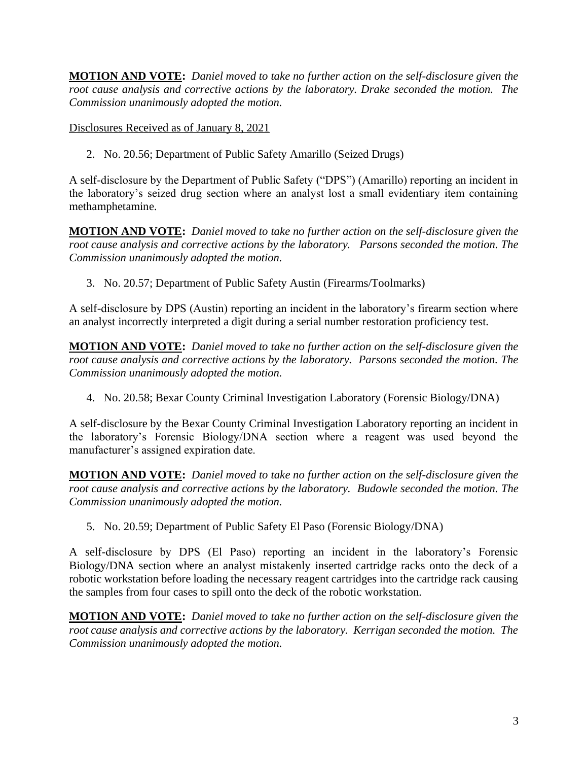**MOTION AND VOTE:** *Daniel moved to take no further action on the self-disclosure given the root cause analysis and corrective actions by the laboratory. Drake seconded the motion. The Commission unanimously adopted the motion.* 

Disclosures Received as of January 8, 2021

2. No. 20.56; Department of Public Safety Amarillo (Seized Drugs)

A self-disclosure by the Department of Public Safety ("DPS") (Amarillo) reporting an incident in the laboratory's seized drug section where an analyst lost a small evidentiary item containing methamphetamine.

**MOTION AND VOTE:** *Daniel moved to take no further action on the self-disclosure given the root cause analysis and corrective actions by the laboratory. Parsons seconded the motion. The Commission unanimously adopted the motion.*

3. No. 20.57; Department of Public Safety Austin (Firearms/Toolmarks)

A self-disclosure by DPS (Austin) reporting an incident in the laboratory's firearm section where an analyst incorrectly interpreted a digit during a serial number restoration proficiency test.

**MOTION AND VOTE:** *Daniel moved to take no further action on the self-disclosure given the root cause analysis and corrective actions by the laboratory. Parsons seconded the motion. The Commission unanimously adopted the motion.*

4. No. 20.58; Bexar County Criminal Investigation Laboratory (Forensic Biology/DNA)

A self-disclosure by the Bexar County Criminal Investigation Laboratory reporting an incident in the laboratory's Forensic Biology/DNA section where a reagent was used beyond the manufacturer's assigned expiration date.

**MOTION AND VOTE:** *Daniel moved to take no further action on the self-disclosure given the root cause analysis and corrective actions by the laboratory. Budowle seconded the motion. The Commission unanimously adopted the motion.*

5. No. 20.59; Department of Public Safety El Paso (Forensic Biology/DNA)

A self-disclosure by DPS (El Paso) reporting an incident in the laboratory's Forensic Biology/DNA section where an analyst mistakenly inserted cartridge racks onto the deck of a robotic workstation before loading the necessary reagent cartridges into the cartridge rack causing the samples from four cases to spill onto the deck of the robotic workstation.

**MOTION AND VOTE:** *Daniel moved to take no further action on the self-disclosure given the root cause analysis and corrective actions by the laboratory. Kerrigan seconded the motion. The Commission unanimously adopted the motion.*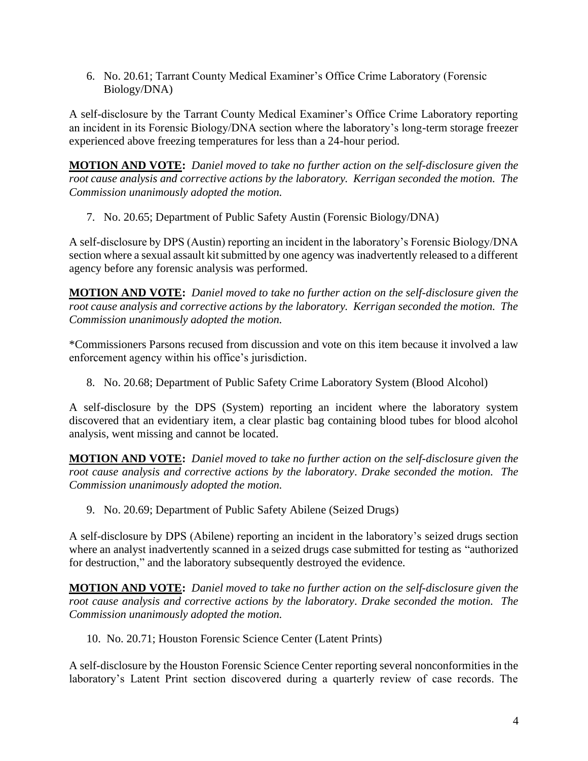6. No. 20.61; Tarrant County Medical Examiner's Office Crime Laboratory (Forensic Biology/DNA)

A self-disclosure by the Tarrant County Medical Examiner's Office Crime Laboratory reporting an incident in its Forensic Biology/DNA section where the laboratory's long-term storage freezer experienced above freezing temperatures for less than a 24-hour period.

**MOTION AND VOTE:** *Daniel moved to take no further action on the self-disclosure given the root cause analysis and corrective actions by the laboratory. Kerrigan seconded the motion. The Commission unanimously adopted the motion.*

7. No. 20.65; Department of Public Safety Austin (Forensic Biology/DNA)

A self-disclosure by DPS (Austin) reporting an incident in the laboratory's Forensic Biology/DNA section where a sexual assault kit submitted by one agency was inadvertently released to a different agency before any forensic analysis was performed.

**MOTION AND VOTE:** *Daniel moved to take no further action on the self-disclosure given the root cause analysis and corrective actions by the laboratory. Kerrigan seconded the motion. The Commission unanimously adopted the motion.*

\*Commissioners Parsons recused from discussion and vote on this item because it involved a law enforcement agency within his office's jurisdiction.

8. No. 20.68; Department of Public Safety Crime Laboratory System (Blood Alcohol)

A self-disclosure by the DPS (System) reporting an incident where the laboratory system discovered that an evidentiary item, a clear plastic bag containing blood tubes for blood alcohol analysis, went missing and cannot be located.

**MOTION AND VOTE:** *Daniel moved to take no further action on the self-disclosure given the root cause analysis and corrective actions by the laboratory. Drake seconded the motion. The Commission unanimously adopted the motion.*

9. No. 20.69; Department of Public Safety Abilene (Seized Drugs)

A self-disclosure by DPS (Abilene) reporting an incident in the laboratory's seized drugs section where an analyst inadvertently scanned in a seized drugs case submitted for testing as "authorized for destruction," and the laboratory subsequently destroyed the evidence.

**MOTION AND VOTE:** *Daniel moved to take no further action on the self-disclosure given the root cause analysis and corrective actions by the laboratory. Drake seconded the motion. The Commission unanimously adopted the motion.*

10. No. 20.71; Houston Forensic Science Center (Latent Prints)

A self-disclosure by the Houston Forensic Science Center reporting several nonconformities in the laboratory's Latent Print section discovered during a quarterly review of case records. The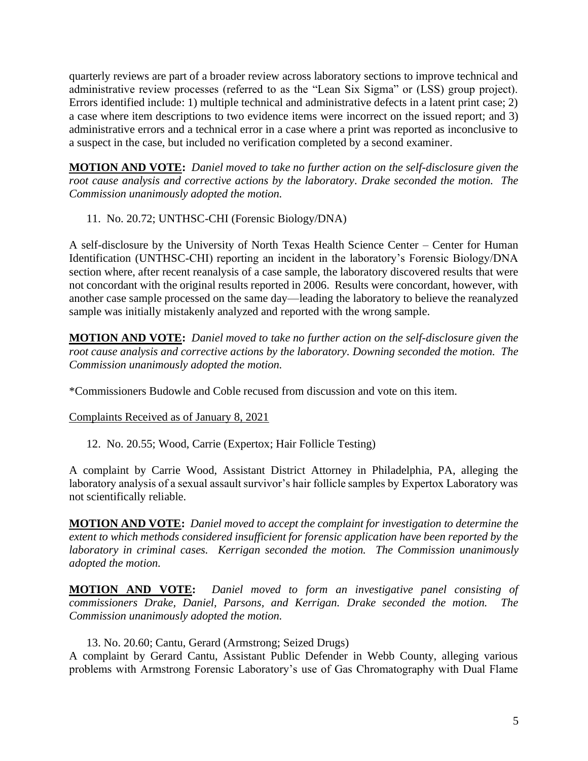quarterly reviews are part of a broader review across laboratory sections to improve technical and administrative review processes (referred to as the "Lean Six Sigma" or (LSS) group project). Errors identified include: 1) multiple technical and administrative defects in a latent print case; 2) a case where item descriptions to two evidence items were incorrect on the issued report; and 3) administrative errors and a technical error in a case where a print was reported as inconclusive to a suspect in the case, but included no verification completed by a second examiner.

**MOTION AND VOTE:** *Daniel moved to take no further action on the self-disclosure given the root cause analysis and corrective actions by the laboratory. Drake seconded the motion. The Commission unanimously adopted the motion.*

11. No. 20.72; UNTHSC-CHI (Forensic Biology/DNA)

A self-disclosure by the University of North Texas Health Science Center – Center for Human Identification (UNTHSC-CHI) reporting an incident in the laboratory's Forensic Biology/DNA section where, after recent reanalysis of a case sample, the laboratory discovered results that were not concordant with the original results reported in 2006. Results were concordant, however, with another case sample processed on the same day—leading the laboratory to believe the reanalyzed sample was initially mistakenly analyzed and reported with the wrong sample.

**MOTION AND VOTE:** *Daniel moved to take no further action on the self-disclosure given the root cause analysis and corrective actions by the laboratory. Downing seconded the motion. The Commission unanimously adopted the motion.*

\*Commissioners Budowle and Coble recused from discussion and vote on this item.

Complaints Received as of January 8, 2021

12. No. 20.55; Wood, Carrie (Expertox; Hair Follicle Testing)

A complaint by Carrie Wood, Assistant District Attorney in Philadelphia, PA, alleging the laboratory analysis of a sexual assault survivor's hair follicle samples by Expertox Laboratory was not scientifically reliable.

**MOTION AND VOTE:** *Daniel moved to accept the complaint for investigation to determine the extent to which methods considered insufficient for forensic application have been reported by the laboratory in criminal cases. Kerrigan seconded the motion. The Commission unanimously adopted the motion.* 

**MOTION AND VOTE:** *Daniel moved to form an investigative panel consisting of commissioners Drake, Daniel, Parsons, and Kerrigan. Drake seconded the motion. The Commission unanimously adopted the motion.* 

## 13. No. 20.60; Cantu, Gerard (Armstrong; Seized Drugs)

A complaint by Gerard Cantu, Assistant Public Defender in Webb County, alleging various problems with Armstrong Forensic Laboratory's use of Gas Chromatography with Dual Flame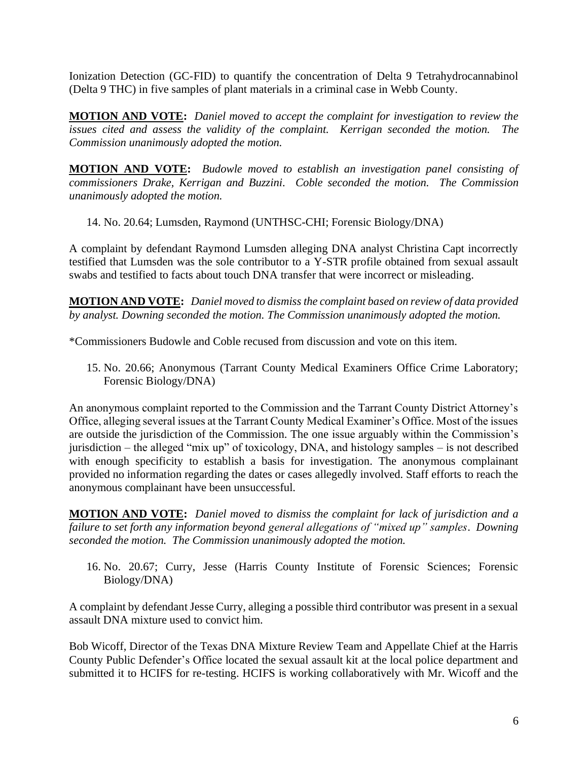Ionization Detection (GC-FID) to quantify the concentration of Delta 9 Tetrahydrocannabinol (Delta 9 THC) in five samples of plant materials in a criminal case in Webb County.

**MOTION AND VOTE:** *Daniel moved to accept the complaint for investigation to review the issues cited and assess the validity of the complaint. Kerrigan seconded the motion. The Commission unanimously adopted the motion.* 

**MOTION AND VOTE:** *Budowle moved to establish an investigation panel consisting of commissioners Drake, Kerrigan and Buzzini. Coble seconded the motion. The Commission unanimously adopted the motion.*

14. No. 20.64; Lumsden, Raymond (UNTHSC-CHI; Forensic Biology/DNA)

A complaint by defendant Raymond Lumsden alleging DNA analyst Christina Capt incorrectly testified that Lumsden was the sole contributor to a Y-STR profile obtained from sexual assault swabs and testified to facts about touch DNA transfer that were incorrect or misleading.

**MOTION AND VOTE:** *Daniel moved to dismiss the complaint based on review of data provided by analyst. Downing seconded the motion. The Commission unanimously adopted the motion.* 

\*Commissioners Budowle and Coble recused from discussion and vote on this item.

15. No. 20.66; Anonymous (Tarrant County Medical Examiners Office Crime Laboratory; Forensic Biology/DNA)

An anonymous complaint reported to the Commission and the Tarrant County District Attorney's Office, alleging several issues at the Tarrant County Medical Examiner's Office. Most of the issues are outside the jurisdiction of the Commission. The one issue arguably within the Commission's jurisdiction – the alleged "mix up" of toxicology, DNA, and histology samples – is not described with enough specificity to establish a basis for investigation. The anonymous complainant provided no information regarding the dates or cases allegedly involved. Staff efforts to reach the anonymous complainant have been unsuccessful.

**MOTION AND VOTE:** *Daniel moved to dismiss the complaint for lack of jurisdiction and a failure to set forth any information beyond general allegations of "mixed up" samples*. *Downing seconded the motion. The Commission unanimously adopted the motion.*

16. No. 20.67; Curry, Jesse (Harris County Institute of Forensic Sciences; Forensic Biology/DNA)

A complaint by defendant Jesse Curry, alleging a possible third contributor was present in a sexual assault DNA mixture used to convict him.

Bob Wicoff, Director of the Texas DNA Mixture Review Team and Appellate Chief at the Harris County Public Defender's Office located the sexual assault kit at the local police department and submitted it to HCIFS for re-testing. HCIFS is working collaboratively with Mr. Wicoff and the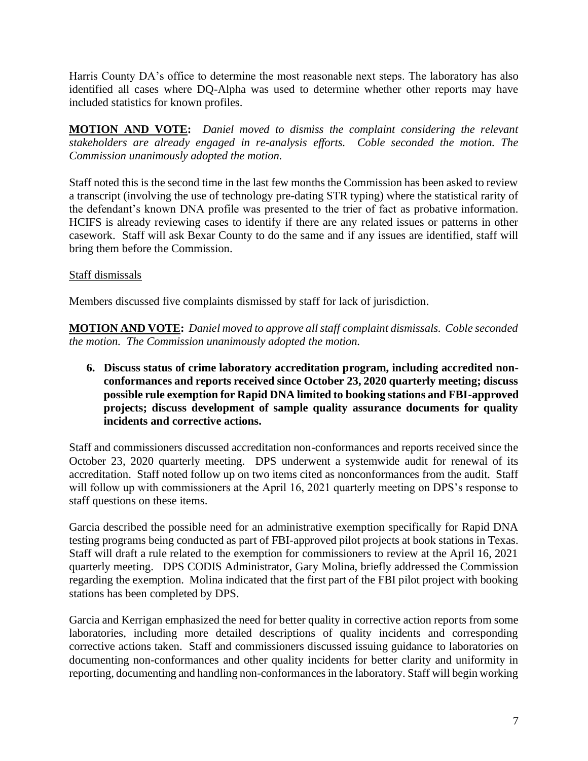Harris County DA's office to determine the most reasonable next steps. The laboratory has also identified all cases where DQ-Alpha was used to determine whether other reports may have included statistics for known profiles.

**MOTION AND VOTE:** *Daniel moved to dismiss the complaint considering the relevant stakeholders are already engaged in re-analysis efforts. Coble seconded the motion. The Commission unanimously adopted the motion.*

Staff noted this is the second time in the last few months the Commission has been asked to review a transcript (involving the use of technology pre-dating STR typing) where the statistical rarity of the defendant's known DNA profile was presented to the trier of fact as probative information. HCIFS is already reviewing cases to identify if there are any related issues or patterns in other casework. Staff will ask Bexar County to do the same and if any issues are identified, staff will bring them before the Commission.

# Staff dismissals

Members discussed five complaints dismissed by staff for lack of jurisdiction.

**MOTION AND VOTE:** *Daniel moved to approve all staff complaint dismissals. Coble seconded the motion. The Commission unanimously adopted the motion.* 

**6. Discuss status of crime laboratory accreditation program, including accredited nonconformances and reports received since October 23, 2020 quarterly meeting; discuss possible rule exemption for Rapid DNA limited to booking stations and FBI-approved projects; discuss development of sample quality assurance documents for quality incidents and corrective actions.**

Staff and commissioners discussed accreditation non-conformances and reports received since the October 23, 2020 quarterly meeting. DPS underwent a systemwide audit for renewal of its accreditation. Staff noted follow up on two items cited as nonconformances from the audit. Staff will follow up with commissioners at the April 16, 2021 quarterly meeting on DPS's response to staff questions on these items.

Garcia described the possible need for an administrative exemption specifically for Rapid DNA testing programs being conducted as part of FBI-approved pilot projects at book stations in Texas. Staff will draft a rule related to the exemption for commissioners to review at the April 16, 2021 quarterly meeting. DPS CODIS Administrator, Gary Molina, briefly addressed the Commission regarding the exemption. Molina indicated that the first part of the FBI pilot project with booking stations has been completed by DPS.

Garcia and Kerrigan emphasized the need for better quality in corrective action reports from some laboratories, including more detailed descriptions of quality incidents and corresponding corrective actions taken. Staff and commissioners discussed issuing guidance to laboratories on documenting non-conformances and other quality incidents for better clarity and uniformity in reporting, documenting and handling non-conformances in the laboratory. Staff will begin working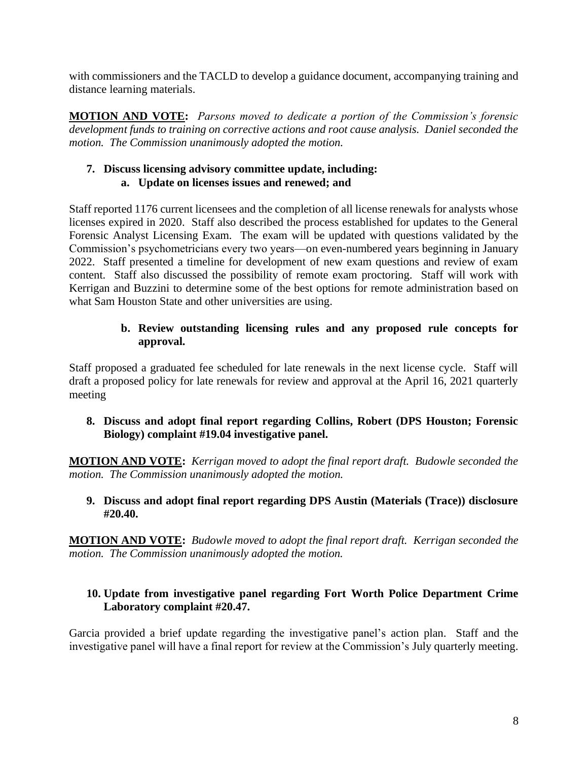with commissioners and the TACLD to develop a guidance document, accompanying training and distance learning materials.

**MOTION AND VOTE:** *Parsons moved to dedicate a portion of the Commission's forensic development funds to training on corrective actions and root cause analysis. Daniel seconded the motion. The Commission unanimously adopted the motion.* 

# **7. Discuss licensing advisory committee update, including: a. Update on licenses issues and renewed; and**

Staff reported 1176 current licensees and the completion of all license renewals for analysts whose licenses expired in 2020. Staff also described the process established for updates to the General Forensic Analyst Licensing Exam. The exam will be updated with questions validated by the Commission's psychometricians every two years—on even-numbered years beginning in January 2022. Staff presented a timeline for development of new exam questions and review of exam content. Staff also discussed the possibility of remote exam proctoring. Staff will work with Kerrigan and Buzzini to determine some of the best options for remote administration based on what Sam Houston State and other universities are using.

# **b. Review outstanding licensing rules and any proposed rule concepts for approval.**

Staff proposed a graduated fee scheduled for late renewals in the next license cycle. Staff will draft a proposed policy for late renewals for review and approval at the April 16, 2021 quarterly meeting

## **8. Discuss and adopt final report regarding Collins, Robert (DPS Houston; Forensic Biology) complaint #19.04 investigative panel.**

**MOTION AND VOTE:** *Kerrigan moved to adopt the final report draft. Budowle seconded the motion. The Commission unanimously adopted the motion.* 

## **9. Discuss and adopt final report regarding DPS Austin (Materials (Trace)) disclosure #20.40.**

**MOTION AND VOTE:** *Budowle moved to adopt the final report draft. Kerrigan seconded the motion. The Commission unanimously adopted the motion.* 

## **10. Update from investigative panel regarding Fort Worth Police Department Crime Laboratory complaint #20.47.**

Garcia provided a brief update regarding the investigative panel's action plan. Staff and the investigative panel will have a final report for review at the Commission's July quarterly meeting.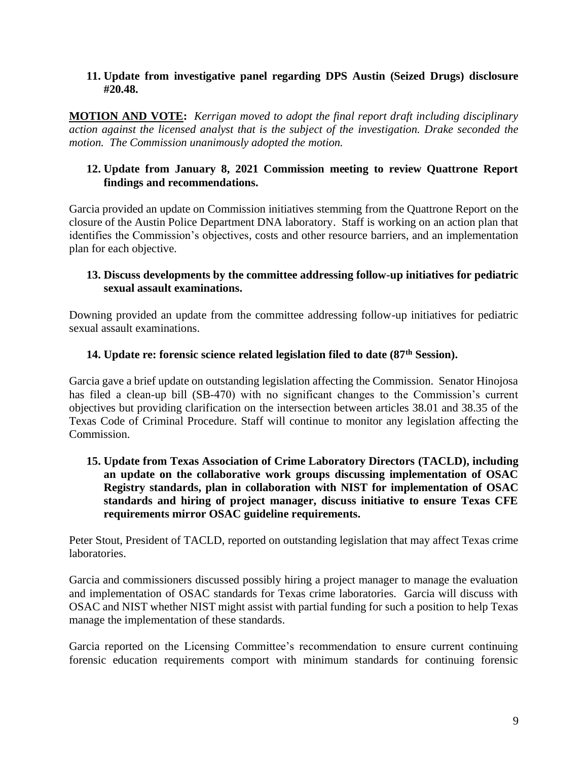#### **11. Update from investigative panel regarding DPS Austin (Seized Drugs) disclosure #20.48.**

**MOTION AND VOTE:** *Kerrigan moved to adopt the final report draft including disciplinary action against the licensed analyst that is the subject of the investigation. Drake seconded the motion. The Commission unanimously adopted the motion.* 

### **12. Update from January 8, 2021 Commission meeting to review Quattrone Report findings and recommendations.**

Garcia provided an update on Commission initiatives stemming from the Quattrone Report on the closure of the Austin Police Department DNA laboratory. Staff is working on an action plan that identifies the Commission's objectives, costs and other resource barriers, and an implementation plan for each objective.

### **13. Discuss developments by the committee addressing follow-up initiatives for pediatric sexual assault examinations.**

Downing provided an update from the committee addressing follow-up initiatives for pediatric sexual assault examinations.

#### **14. Update re: forensic science related legislation filed to date (87th Session).**

Garcia gave a brief update on outstanding legislation affecting the Commission. Senator Hinojosa has filed a clean-up bill (SB-470) with no significant changes to the Commission's current objectives but providing clarification on the intersection between articles 38.01 and 38.35 of the Texas Code of Criminal Procedure. Staff will continue to monitor any legislation affecting the Commission.

### **15. Update from Texas Association of Crime Laboratory Directors (TACLD), including an update on the collaborative work groups discussing implementation of OSAC Registry standards, plan in collaboration with NIST for implementation of OSAC standards and hiring of project manager, discuss initiative to ensure Texas CFE requirements mirror OSAC guideline requirements.**

Peter Stout, President of TACLD, reported on outstanding legislation that may affect Texas crime laboratories.

Garcia and commissioners discussed possibly hiring a project manager to manage the evaluation and implementation of OSAC standards for Texas crime laboratories. Garcia will discuss with OSAC and NIST whether NIST might assist with partial funding for such a position to help Texas manage the implementation of these standards.

Garcia reported on the Licensing Committee's recommendation to ensure current continuing forensic education requirements comport with minimum standards for continuing forensic